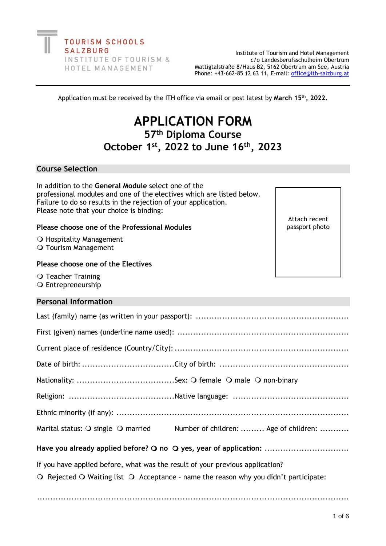**TOURISM SCHOOLS SALZBURG** INSTITUTE OF TOURISM & HOTEL MANAGEMENT

Institute of Tourism and Hotel Management c/o Landesberufsschulheim Obertrum Mattigtalstraße 8/Haus B2, 5162 Obertrum am See, Austria Phone: +43-662-85 12 63 11, E-mail: [office@ith-salzburg.at](mailto:office@ith-salzburg.at)

Application must be received by the ITH office via email or post latest by **March 15 th, 2022.**

# **APPLICATION FORM 57th Diploma Course October 1st , 2022 to June 16 th , 2023**

# **Course Selection**

In addition to the **General Module** select one of the professional modules and one of the electives which are listed below. Failure to do so results in the rejection of your application. Please note that your choice is binding:

# **Please choose one of the Professional Modules**

O Hospitality Management

O Tourism Management

#### **Please choose one of the Electives**

O Teacher Training O Entrepreneurship

#### **Personal Information**

| Marital status: O single O married Number of children:  Age of children:                                                                                                                         |  |  |  |  |
|--------------------------------------------------------------------------------------------------------------------------------------------------------------------------------------------------|--|--|--|--|
| Have you already applied before? O no O yes, year of application:                                                                                                                                |  |  |  |  |
| If you have applied before, what was the result of your previous application?<br>$\bigcirc$ Rejected $\bigcirc$ Waiting list $\bigcirc$ Acceptance - name the reason why you didn't participate: |  |  |  |  |

......................................................................................................................

Attach recent passport photo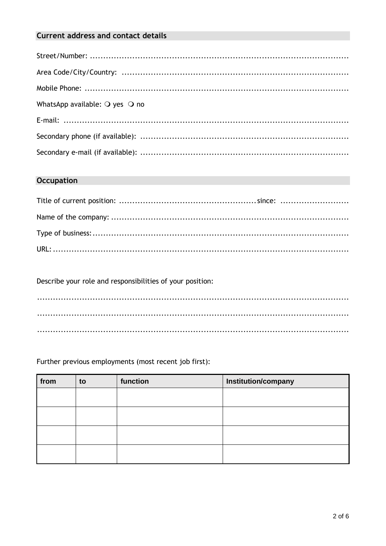# **Current address and contact details**

| WhatsApp available: $\bigcirc$ yes $\bigcirc$ no |
|--------------------------------------------------|
|                                                  |
|                                                  |
|                                                  |

# **Occupation**

Describe your role and responsibilities of your position:

Further previous employments (most recent job first):

| from | to | function | Institution/company |
|------|----|----------|---------------------|
|      |    |          |                     |
|      |    |          |                     |
|      |    |          |                     |
|      |    |          |                     |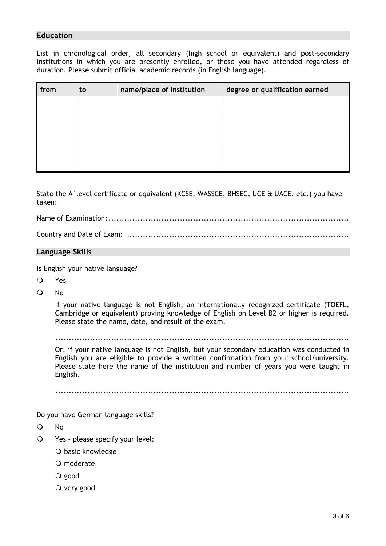# **Education**

List in chronological order, all secondary (high school or equivalent) and post-secondary institutions in which you are presently enrolled, or those you have attended regardless of duration. Please submit official academic records (in English language).

| from | to | name/place of institution | degree or qualification earned |
|------|----|---------------------------|--------------------------------|
|      |    |                           |                                |
|      |    |                           |                                |
|      |    |                           |                                |
|      |    |                           |                                |

State the A´level certificate or equivalent (KCSE, WASSCE, BHSEC, UCE & UACE, etc.) you have taken:

Name of Examination:...........................................................................................

Country and Date of Exam: ....................................................................................

#### **Language Skills**

Is English your native language?

- Yes
- O No

If your native language is not English, an internationally recognized certificate (TOEFL, Cambridge or equivalent) proving knowledge of English on Level B2 or higher is required. Please state the name, date, and result of the exam.

Or, if your native language is not English, but your secondary education was conducted in English you are eligible to provide a written confirmation from your school/university. Please state here the name of the institution and number of years you were taught in English.

...............................................................................................................

Do you have German language skills?

No

- Yes please specify your level:
	- O basic knowledge
	- O moderate
	- good
	- $\overline{O}$  very good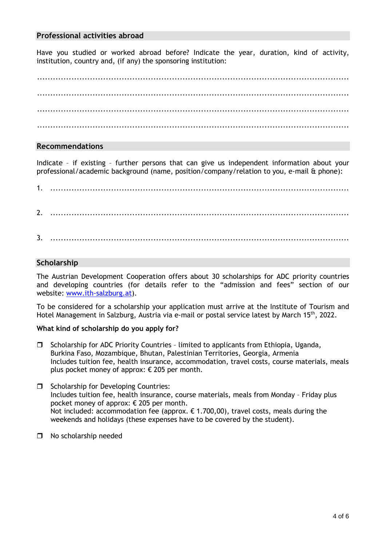## **Professional activities abroad**

Have you studied or worked abroad before? Indicate the year, duration, kind of activity, institution, country and, (if any) the sponsoring institution:

...................................................................................................................... ...................................................................................................................... ......................................................................................................................

# **Recommendations**

Indicate – if existing – further persons that can give us independent information about your professional/academic background (name, position/company/relation to you, e-mail & phone):

1. ................................................................................................................. 2. ................................................................................................................. 3. .................................................................................................................

# **Scholarship**

The Austrian Development Cooperation offers about 30 scholarships for ADC priority countries and developing countries (for details refer to the "admission and fees" section of our website: [www.ith-salzburg.at\)](http://www.ith-salzburg.at/).

To be considered for a scholarship your application must arrive at the Institute of Tourism and Hotel Management in Salzburg, Austria via e-mail or postal service latest by March 15<sup>th</sup>, 2022.

#### **What kind of scholarship do you apply for?**

- $\square$  Scholarship for ADC Priority Countries limited to applicants from Ethiopia, Uganda, Burkina Faso, Mozambique, Bhutan, Palestinian Territories, Georgia, Armenia Includes tuition fee, health insurance, accommodation, travel costs, course materials, meals plus pocket money of approx: € 205 per month.
- $\Box$  Scholarship for Developing Countries: Includes tuition fee, health insurance, course materials, meals from Monday – Friday plus pocket money of approx: € 205 per month. Not included: accommodation fee (approx.  $\epsilon$  1.700,00), travel costs, meals during the weekends and holidays (these expenses have to be covered by the student).
- □ No scholarship needed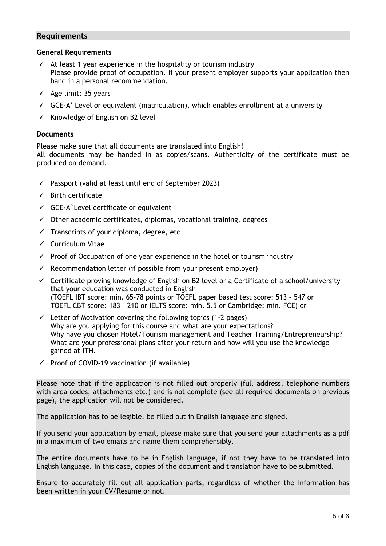#### **Requirements**

#### **General Requirements**

- $\checkmark$  At least 1 year experience in the hospitality or tourism industry Please provide proof of occupation. If your present employer supports your application then hand in a personal recommendation.
- $\checkmark$  Age limit: 35 years
- $\checkmark$  GCE-A' Level or equivalent (matriculation), which enables enrollment at a university
- $\checkmark$  Knowledge of English on B2 level

#### **Documents**

Please make sure that all documents are translated into English! All documents may be handed in as copies/scans. Authenticity of the certificate must be produced on demand.

- $\checkmark$  Passport (valid at least until end of September 2023)
- $\checkmark$  Birth certificate
- $\checkmark$  GCE-A`Level certificate or equivalent
- $\checkmark$  Other academic certificates, diplomas, vocational training, degrees
- $\checkmark$  Transcripts of your diploma, degree, etc
- ✓ Curriculum Vitae
- $\checkmark$  Proof of Occupation of one year experience in the hotel or tourism industry
- $\checkmark$  Recommendation letter (if possible from your present employer)
- $\checkmark$  Certificate proving knowledge of English on B2 level or a Certificate of a school/university that your education was conducted in English (TOEFL IBT score: min. 65-78 points or TOEFL paper based test score: 513 – 547 or TOEFL CBT score: 183 – 210 or IELTS score: min. 5.5 or Cambridge: min. FCE) or
- $\checkmark$  Letter of Motivation covering the following topics (1-2 pages) Why are you applying for this course and what are your expectations? Why have you chosen Hotel/Tourism management and Teacher Training/Entrepreneurship? What are your professional plans after your return and how will you use the knowledge gained at ITH.
- $\checkmark$  Proof of COVID-19 vaccination (if available)

Please note that if the application is not filled out properly (full address, telephone numbers with area codes, attachments etc.) and is not complete (see all required documents on previous page), the application will not be considered.

The application has to be legible, be filled out in English language and signed.

If you send your application by email, please make sure that you send your attachments as a pdf in a maximum of two emails and name them comprehensibly.

The entire documents have to be in English language, if not they have to be translated into English language. In this case, copies of the document and translation have to be submitted.

Ensure to accurately fill out all application parts, regardless of whether the information has been written in your CV/Resume or not.